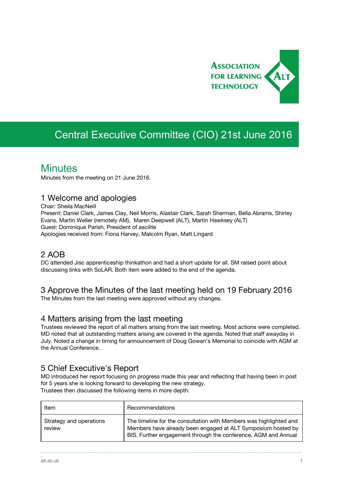

# Central Executive Committee (CIO) 21st June 2016

## **Minutes**

Minutes from the meeting on 21 June 2016.

#### 1 Welcome and apologies

Chair: Sheila MacNeill Present: Daniel Clark, James Clay, Neil Morris, Alastair Clark, Sarah Sherman, Bella Abrams, Shirley Evans, Martin Weller (remotely AM), Maren Deepwell (ALT), Martin Hawksey (ALT) Guest: Dominique Parish, President of ascilite Apologies received from: Fiona Harvey, Malcolm Ryan, Matt Lingard

### 2 AOB

DC attended Jisc apprenticeship thinkathon and had a short update for all. SM raised point about discussing links with SoLAR. Both item were added to the end of the agenda.

## 3 Approve the Minutes of the last meeting held on 19 February 2016

The Minutes from the last meeting were approved without any changes.

### 4 Matters arising from the last meeting

Trustees reviewed the report of all matters arising from the last meeting. Most actions were completed. MD noted that all outstanding matters arising are covered in the agenda. Noted that staff awayday in July. Noted a change in timing for announcement of Doug Gowan's Memorial to coincide with AGM at the Annual Conference.

### 5 Chief Executive's Report

MD introduced her report focusing on progress made this year and reflecting that having been in post for 5 years she is looking forward to developing the new strategy. Trustees then discussed the following items in more depth:

| Item                              | Recommendations                                                                                                                                                                                      |
|-----------------------------------|------------------------------------------------------------------------------------------------------------------------------------------------------------------------------------------------------|
| Strategy and operations<br>review | The timeline for the consultation with Members was highlighted and<br>Members have already been engaged at ALT Symposium hosted by<br>BIS. Further engagement through the conference, AGM and Annual |

\_\_\_\_\_\_\_\_\_\_\_\_\_\_\_\_\_\_\_\_\_\_\_\_\_\_\_\_\_\_\_\_\_\_\_\_\_\_\_\_\_\_\_\_\_\_\_\_\_\_\_\_\_\_\_\_\_\_\_\_\_\_\_\_\_\_\_\_\_\_\_\_\_\_\_\_\_\_\_\_\_\_\_\_\_\_\_\_\_\_\_\_\_\_\_\_\_\_\_\_\_\_\_\_\_\_\_\_\_\_\_\_\_\_\_\_\_\_\_\_\_\_\_\_\_\_\_\_\_\_\_\_\_\_\_\_\_\_\_\_\_\_\_\_\_\_\_\_\_\_

\_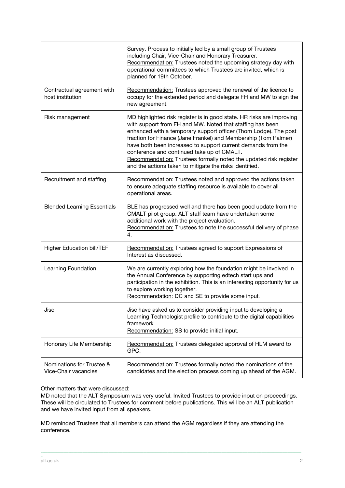|                                                   | Survey. Process to initially led by a small group of Trustees<br>including Chair, Vice-Chair and Honorary Treasurer.<br>Recommendation: Trustees noted the upcoming strategy day with<br>operational committees to which Trustees are invited, which is<br>planned for 19th October.                                                                                                                                                                                                                                    |
|---------------------------------------------------|-------------------------------------------------------------------------------------------------------------------------------------------------------------------------------------------------------------------------------------------------------------------------------------------------------------------------------------------------------------------------------------------------------------------------------------------------------------------------------------------------------------------------|
| Contractual agreement with<br>host institution    | Recommendation: Trustees approved the renewal of the licence to<br>occupy for the extended period and delegate FH and MW to sign the<br>new agreement.                                                                                                                                                                                                                                                                                                                                                                  |
| Risk management                                   | MD highlighted risk register is in good state. HR risks are improving<br>with support from FH and MW. Noted that staffing has been<br>enhanced with a temporary support officer (Thom Lodge). The post<br>fraction for Finance (Jane Frankel) and Membership (Tom Palmer)<br>have both been increased to support current demands from the<br>conference and continued take up of CMALT.<br>Recommendation: Trustees formally noted the updated risk register<br>and the actions taken to mitigate the risks identified. |
| Recruitment and staffing                          | Recommendation: Trustees noted and approved the actions taken<br>to ensure adequate staffing resource is available to cover all<br>operational areas.                                                                                                                                                                                                                                                                                                                                                                   |
| <b>Blended Learning Essentials</b>                | BLE has progressed well and there has been good update from the<br>CMALT pilot group. ALT staff team have undertaken some<br>additional work with the project evaluation.<br>Recommendation: Trustees to note the successful delivery of phase<br>4.                                                                                                                                                                                                                                                                    |
| <b>Higher Education bill/TEF</b>                  | Recommendation: Trustees agreed to support Expressions of<br>Interest as discussed.                                                                                                                                                                                                                                                                                                                                                                                                                                     |
| Learning Foundation                               | We are currently exploring how the foundation might be involved in<br>the Annual Conference by supporting edtech start ups and<br>participation in the exhibition. This is an interesting opportunity for us<br>to explore working together.<br>Recommendation: DC and SE to provide some input.                                                                                                                                                                                                                        |
| Jisc                                              | Jisc have asked us to consider providing input to developing a<br>Learning Technologist profile to contribute to the digital capabilities<br>framework.<br>Recommendation: SS to provide initial input.                                                                                                                                                                                                                                                                                                                 |
| Honorary Life Membership                          | Recommendation: Trustees delegated approval of HLM award to<br>GPC.                                                                                                                                                                                                                                                                                                                                                                                                                                                     |
| Nominations for Trustee &<br>Vice-Chair vacancies | Recommendation: Trustees formally noted the nominations of the<br>candidates and the election process coming up ahead of the AGM.                                                                                                                                                                                                                                                                                                                                                                                       |

Other matters that were discussed:

MD noted that the ALT Symposium was very useful. Invited Trustees to provide input on proceedings. These will be circulated to Trustees for comment before publications. This will be an ALT publication and we have invited input from all speakers.

\_\_\_\_\_\_\_\_\_\_\_\_\_\_\_\_\_\_\_\_\_\_\_\_\_\_\_\_\_\_\_\_\_\_\_\_\_\_\_\_\_\_\_\_\_\_\_\_\_\_\_\_\_\_\_\_\_\_\_\_\_\_\_\_\_\_\_\_\_\_\_\_\_\_\_\_\_\_\_\_\_\_\_\_\_\_\_\_\_\_\_\_\_\_\_\_\_\_\_\_\_\_\_\_\_\_\_\_\_\_\_\_\_\_\_\_\_\_\_\_\_\_\_\_\_\_\_\_\_\_\_\_\_\_\_\_\_\_\_\_\_\_\_\_\_\_\_\_\_\_

MD reminded Trustees that all members can attend the AGM regardless if they are attending the conference.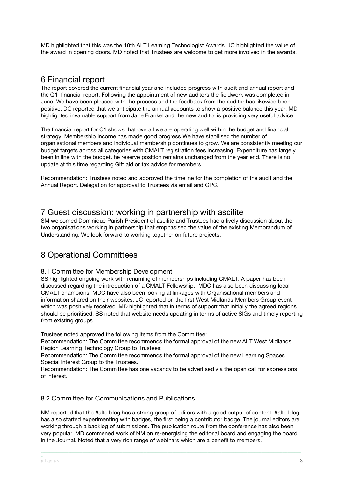MD highlighted that this was the 10th ALT Learning Technologist Awards. JC highlighted the value of the award in opening doors. MD noted that Trustees are welcome to get more involved in the awards.

#### 6 Financial report

The report covered the current financial year and included progress with audit and annual report and the Q1 financial report. Following the appointment of new auditors the fieldwork was completed in June. We have been pleased with the process and the feedback from the auditor has likewise been positive. DC reported that we anticipate the annual accounts to show a positive balance this year. MD highlighted invaluable support from Jane Frankel and the new auditor is providing very useful advice.

The financial report for Q1 shows that overall we are operating well within the budget and financial strategy. Membership income has made good progress.We have stabilised the number of organisational members and individual membership continues to grow. We are consistently meeting our budget targets across all categories with CMALT registration fees increasing. Expenditure has largely been in line with the budget. he reserve position remains unchanged from the year end. There is no update at this time regarding Gift aid or tax advice for members.

Recommendation: Trustees noted and approved the timeline for the completion of the audit and the Annual Report. Delegation for approval to Trustees via email and GPC.

#### 7 Guest discussion: working in partnership with ascilite

SM welcomed Dominique Parish President of ascilite and Trustees had a lively discussion about the two organisations working in partnership that emphasised the value of the existing Memorandum of Understanding. We look forward to working together on future projects.

### 8 Operational Committees

#### 8.1 Committee for Membership Development

SS highlighted ongoing work with renaming of memberships including CMALT. A paper has been discussed regarding the introduction of a CMALT Fellowship. MDC has also been discussing local CMALT champions. MDC have also been looking at linkages with Organisational members and information shared on their websites. JC reported on the first West Midlands Members Group event which was positively received. MD highlighted that in terms of support that initially the agreed regions should be prioritised. SS noted that website needs updating in terms of active SIGs and timely reporting from existing groups.

Trustees noted approved the following items from the Committee:

Recommendation: The Committee recommends the formal approval of the new ALT West Midlands Region Learning Technology Group to Trustees;

Recommendation: The Committee recommends the formal approval of the new Learning Spaces Special Interest Group to the Trustees.

Recommendation: The Committee has one vacancy to be advertised via the open call for expressions of interest.

#### 8.2 Committee for Communications and Publications

NM reported that the #altc blog has a strong group of editors with a good output of content. #altc blog has also started experimenting with badges, the first being a contributor badge. The journal editors are working through a backlog of submissions. The publication route from the conference has also been very popular. MD commened work of NM on re-energising the editorial board and engaging the board in the Journal. Noted that a very rich range of webinars which are a benefit to members.

\_\_\_\_\_\_\_\_\_\_\_\_\_\_\_\_\_\_\_\_\_\_\_\_\_\_\_\_\_\_\_\_\_\_\_\_\_\_\_\_\_\_\_\_\_\_\_\_\_\_\_\_\_\_\_\_\_\_\_\_\_\_\_\_\_\_\_\_\_\_\_\_\_\_\_\_\_\_\_\_\_\_\_\_\_\_\_\_\_\_\_\_\_\_\_\_\_\_\_\_\_\_\_\_\_\_\_\_\_\_\_\_\_\_\_\_\_\_\_\_\_\_\_\_\_\_\_\_\_\_\_\_\_\_\_\_\_\_\_\_\_\_\_\_\_\_\_\_\_\_

\_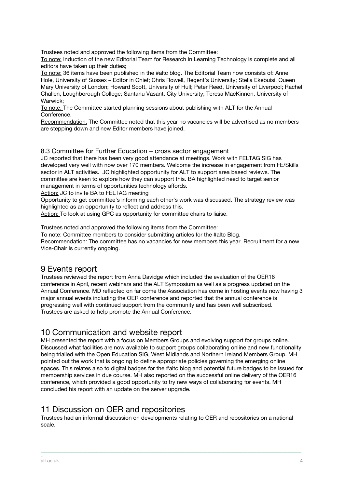Trustees noted and approved the following items from the Committee:

To note: Induction of the new Editorial Team for Research in Learning Technology is complete and all editors have taken up their duties;

To note: 36 items have been published in the #altc blog. The Editorial Team now consists of: Anne Hole, University of Sussex – Editor in Chief; Chris Rowell, Regent's University; Stella Ekebuisi, Queen Mary University of London; Howard Scott, University of Hull; Peter Reed, University of Liverpool; Rachel Challen, Loughborough College; Santanu Vasant, City University; Teresa MacKinnon, University of Warwick;

To note: The Committee started planning sessions about publishing with ALT for the Annual Conference.

Recommendation: The Committee noted that this year no vacancies will be advertised as no members are stepping down and new Editor members have joined.

#### 8.3 Committee for Further Education + cross sector engagement

JC reported that there has been very good attendance at meetings. Work with FELTAG SIG has developed very well with now over 170 members. Welcome the increase in engagement from FE/Skills sector in ALT activities. JC highlighted opportunity for ALT to support area based reviews. The committee are keen to explore how they can support this. BA highlighted need to target senior management in terms of opportunities technology affords.

Action: JC to invite BA to FELTAG meeting

Opportunity to get committee's informing each other's work was discussed. The strategy review was highlighted as an opportunity to reflect and address this.

Action: To look at using GPC as opportunity for committee chairs to liaise.

Trustees noted and approved the following items from the Committee:

To note: Committee members to consider submitting articles for the #altc Blog. Recommendation: The committee has no vacancies for new members this year. Recruitment for a new Vice-Chair is currently ongoing.

### 9 Events report

Trustees reviewed the report from Anna Davidge which included the evaluation of the OER16 conference in April, recent webinars and the ALT Symposium as well as a progress updated on the Annual Conference. MD reflected on far come the Association has come in hosting events now having 3 major annual events including the OER conference and reported that the annual conference is progressing well with continued support from the community and has been well subscribed. Trustees are asked to help promote the Annual Conference.

### 10 Communication and website report

MH presented the report with a focus on Members Groups and evolving support for groups online. Discussed what facilities are now available to support groups collaborating online and new functionality being trialled with the Open Education SIG, West Midlands and Northern Ireland Members Group. MH pointed out the work that is ongoing to define appropriate policies governing the emerging online spaces. This relates also to digital badges for the #altc blog and potential future badges to be issued for membership services in due course. MH also reported on the successful online delivery of the OER16 conference, which provided a good opportunity to try new ways of collaborating for events. MH concluded his report with an update on the server upgrade.

### 11 Discussion on OER and repositories

Trustees had an informal discussion on developments relating to OER and repositories on a national scale.

\_\_\_\_\_\_\_\_\_\_\_\_\_\_\_\_\_\_\_\_\_\_\_\_\_\_\_\_\_\_\_\_\_\_\_\_\_\_\_\_\_\_\_\_\_\_\_\_\_\_\_\_\_\_\_\_\_\_\_\_\_\_\_\_\_\_\_\_\_\_\_\_\_\_\_\_\_\_\_\_\_\_\_\_\_\_\_\_\_\_\_\_\_\_\_\_\_\_\_\_\_\_\_\_\_\_\_\_\_\_\_\_\_\_\_\_\_\_\_\_\_\_\_\_\_\_\_\_\_\_\_\_\_\_\_\_\_\_\_\_\_\_\_\_\_\_\_\_\_\_

\_